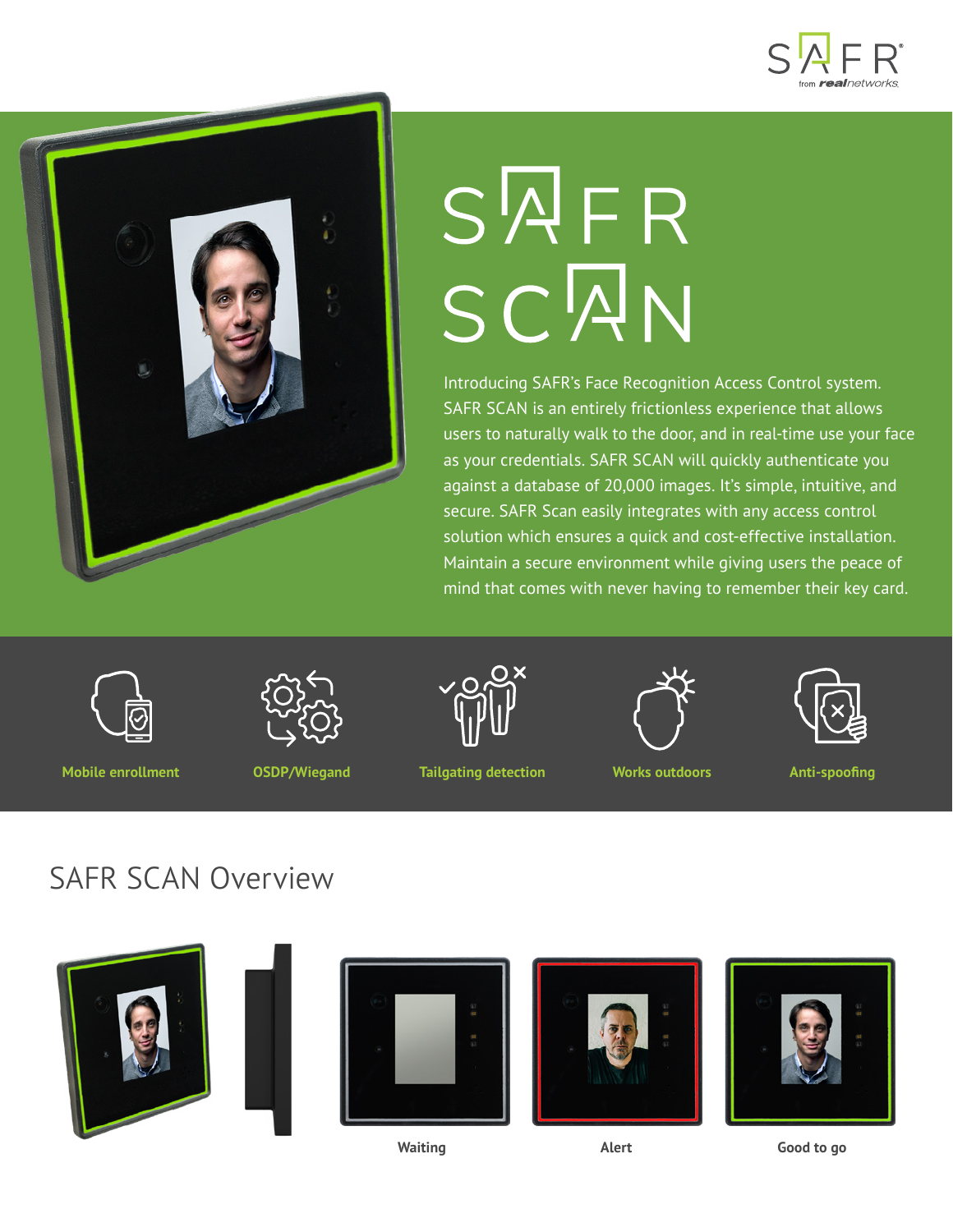



# $S\sqrt{A}FR$ SCAN

Introducing SAFR's Face Recognition Access Control system. SAFR SCAN is an entirely frictionless experience that allows users to naturally walk to the door, and in real-time use your face as your credentials. SAFR SCAN will quickly authenticate you against a database of 20,000 images. It's simple, intuitive, and secure. SAFR Scan easily integrates with any access control solution which ensures a quick and cost-effective installation. Maintain a secure environment while giving users the peace of mind that comes with never having to remember their key card.



**Mobile enrollment OSDP/Wiegand**

**Tailgating detection Works outdoors Anti-spoofing**





#### SAFR SCAN Overview











**Waiting Alert Good to go**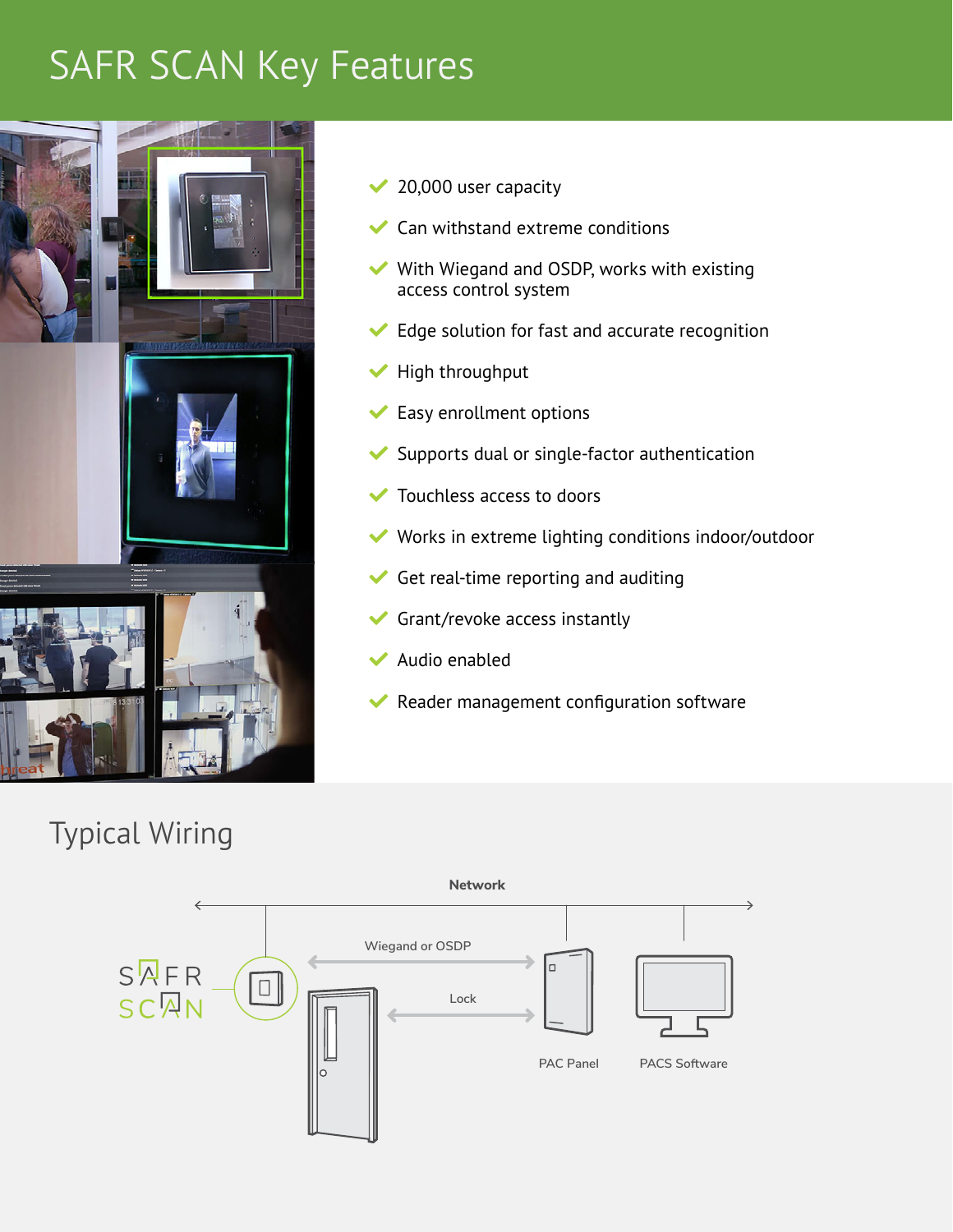### SAFR SCAN Key Features



- $\vee$  20,000 user capacity
- Can withstand extreme conditions
- $\blacktriangleright$  With Wiegand and OSDP, works with existing access control system
- $\blacktriangleright$  Edge solution for fast and accurate recognition
- $\blacktriangleright$  High throughput
- $\blacktriangleright$  Easy enrollment options
- Supports dual or single-factor authentication
- $\blacktriangleright$  Touchless access to doors
- $\blacktriangleright$  Works in extreme lighting conditions indoor/outdoor
- $\blacktriangleright$  Get real-time reporting and auditing
- $\blacktriangleright$  Grant/revoke access instantly
- Audio enabled
- $\blacktriangleright$  Reader management configuration software

#### Typical Wiring

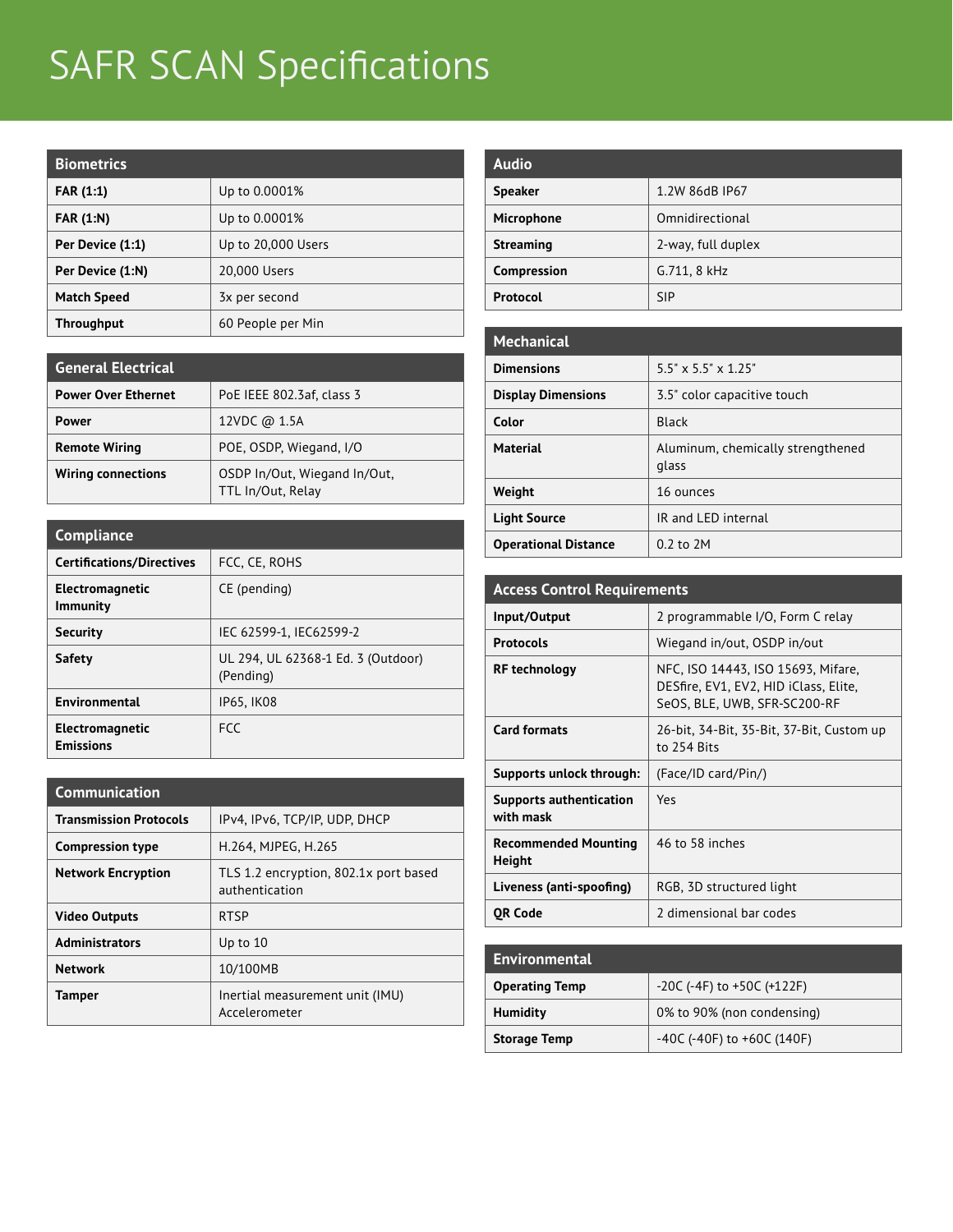# SAFR SCAN Specifications

| <b>Biometrics</b>  |                    |
|--------------------|--------------------|
| <b>FAR (1:1)</b>   | Up to 0.0001%      |
| <b>FAR (1:N)</b>   | Up to 0.0001%      |
| Per Device (1:1)   | Up to 20,000 Users |
| Per Device (1:N)   | 20,000 Users       |
| <b>Match Speed</b> | 3x per second      |
| <b>Throughput</b>  | 60 People per Min  |

| <b>General Electrical</b>  |                                                   |
|----------------------------|---------------------------------------------------|
| <b>Power Over Ethernet</b> | PoE IEEE 802.3af, class 3                         |
| Power                      | 12VDC @ 1.5A                                      |
| <b>Remote Wiring</b>       | POE, OSDP, Wiegand, I/O                           |
| <b>Wiring connections</b>  | OSDP In/Out, Wiegand In/Out,<br>TTL In/Out, Relay |

| <b>Compliance</b>                         |                                                 |
|-------------------------------------------|-------------------------------------------------|
| <b>Certifications/Directives</b>          | FCC, CE, ROHS                                   |
| <b>Electromagnetic</b><br><b>Immunity</b> | CE (pending)                                    |
| <b>Security</b>                           | IEC 62599-1, IEC62599-2                         |
| Safety                                    | UL 294, UL 62368-1 Ed. 3 (Outdoor)<br>(Pending) |
| Environmental                             | <b>IP65, IK08</b>                               |
| Electromagnetic<br><b>Emissions</b>       | <b>FCC</b>                                      |

| Communication                 |                                                         |
|-------------------------------|---------------------------------------------------------|
| <b>Transmission Protocols</b> | IPv4, IPv6, TCP/IP, UDP, DHCP                           |
| <b>Compression type</b>       | H.264, MJPEG, H.265                                     |
| <b>Network Encryption</b>     | TLS 1.2 encryption, 802.1x port based<br>authentication |
| <b>Video Outputs</b>          | <b>RTSP</b>                                             |
| <b>Administrators</b>         | Up to 10                                                |
| <b>Network</b>                | 10/100MB                                                |
| <b>Tamper</b>                 | Inertial measurement unit (IMU)<br>Accelerometer        |

| <b>Audio</b>     |                    |
|------------------|--------------------|
|                  |                    |
| <b>Speaker</b>   | 1.2W 86dB IP67     |
| Microphone       | Omnidirectional    |
| <b>Streaming</b> | 2-way, full duplex |
| Compression      | G.711, 8 kHz       |
| Protocol         | <b>SIP</b>         |

| <b>Mechanical</b>           |                                            |
|-----------------------------|--------------------------------------------|
| <b>Dimensions</b>           | $5.5" \times 5.5" \times 1.25"$            |
| <b>Display Dimensions</b>   | 3.5" color capacitive touch                |
| Color                       | <b>Black</b>                               |
| <b>Material</b>             | Aluminum, chemically strengthened<br>glass |
| Weight                      | 16 ounces                                  |
| <b>Light Source</b>         | IR and LED internal                        |
| <b>Operational Distance</b> | $0.2$ to $2M$                              |

| <b>Access Control Requirements</b>          |                                                                                                             |
|---------------------------------------------|-------------------------------------------------------------------------------------------------------------|
| Input/Output                                | 2 programmable I/O, Form C relay                                                                            |
| <b>Protocols</b>                            | Wiegand in/out, OSDP in/out                                                                                 |
| <b>RF</b> technology                        | NFC, ISO 14443, ISO 15693, Mifare,<br>DESfire, EV1, EV2, HID iClass, Elite,<br>SeOS, BLE, UWB, SFR-SC200-RF |
| <b>Card formats</b>                         | 26-bit, 34-Bit, 35-Bit, 37-Bit, Custom up<br>to 254 Bits                                                    |
| Supports unlock through:                    | (Face/ID card/Pin/)                                                                                         |
| <b>Supports authentication</b><br>with mask | Yes                                                                                                         |
| <b>Recommended Mounting</b><br>Height       | 46 to 58 inches                                                                                             |
| Liveness (anti-spoofing)                    | RGB, 3D structured light                                                                                    |
| OR Code                                     | 2 dimensional bar codes                                                                                     |

| Environmental         |                                |
|-----------------------|--------------------------------|
| <b>Operating Temp</b> | $-20C$ (-4F) to $+50C$ (+122F) |
| <b>Humidity</b>       | 0% to 90% (non condensing)     |
| <b>Storage Temp</b>   | $-40C$ (-40F) to $+60C$ (140F) |